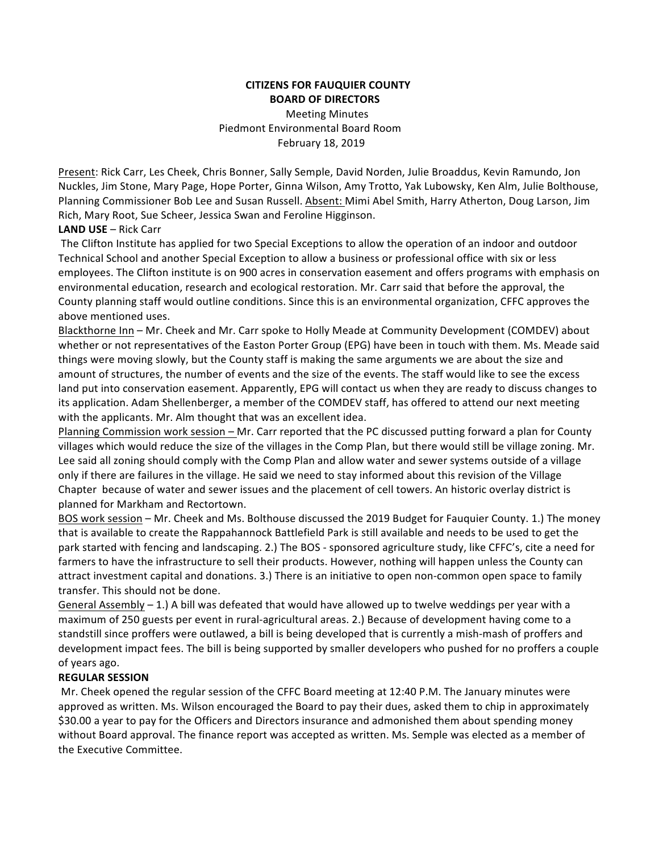# **CITIZENS FOR FAUQUIER COUNTY BOARD OF DIRECTORS**

 Meeting Minutes Piedmont Environmental Board Room February 18, 2019

Present: Rick Carr, Les Cheek, Chris Bonner, Sally Semple, David Norden, Julie Broaddus, Kevin Ramundo, Jon Nuckles, Jim Stone, Mary Page, Hope Porter, Ginna Wilson, Amy Trotto, Yak Lubowsky, Ken Alm, Julie Bolthouse, Planning Commissioner Bob Lee and Susan Russell. Absent: Mimi Abel Smith, Harry Atherton, Doug Larson, Jim Rich, Mary Root, Sue Scheer, Jessica Swan and Feroline Higginson.

## **LAND USE** – Rick Carr

The Clifton Institute has applied for two Special Exceptions to allow the operation of an indoor and outdoor Technical School and another Special Exception to allow a business or professional office with six or less employees. The Clifton institute is on 900 acres in conservation easement and offers programs with emphasis on environmental education, research and ecological restoration. Mr. Carr said that before the approval, the County planning staff would outline conditions. Since this is an environmental organization, CFFC approves the above mentioned uses.

Blackthorne Inn - Mr. Cheek and Mr. Carr spoke to Holly Meade at Community Development (COMDEV) about whether or not representatives of the Easton Porter Group (EPG) have been in touch with them. Ms. Meade said things were moving slowly, but the County staff is making the same arguments we are about the size and amount of structures, the number of events and the size of the events. The staff would like to see the excess land put into conservation easement. Apparently, EPG will contact us when they are ready to discuss changes to its application. Adam Shellenberger, a member of the COMDEV staff, has offered to attend our next meeting with the applicants. Mr. Alm thought that was an excellent idea.

Planning Commission work session – Mr. Carr reported that the PC discussed putting forward a plan for County villages which would reduce the size of the villages in the Comp Plan, but there would still be village zoning. Mr. Lee said all zoning should comply with the Comp Plan and allow water and sewer systems outside of a village only if there are failures in the village. He said we need to stay informed about this revision of the Village Chapter because of water and sewer issues and the placement of cell towers. An historic overlay district is planned for Markham and Rectortown.

BOS work session – Mr. Cheek and Ms. Bolthouse discussed the 2019 Budget for Fauquier County. 1.) The money that is available to create the Rappahannock Battlefield Park is still available and needs to be used to get the park started with fencing and landscaping. 2.) The BOS - sponsored agriculture study, like CFFC's, cite a need for farmers to have the infrastructure to sell their products. However, nothing will happen unless the County can attract investment capital and donations. 3.) There is an initiative to open non-common open space to family transfer. This should not be done.

General Assembly  $-1$ .) A bill was defeated that would have allowed up to twelve weddings per year with a maximum of 250 guests per event in rural-agricultural areas. 2.) Because of development having come to a standstill since proffers were outlawed, a bill is being developed that is currently a mish-mash of proffers and development impact fees. The bill is being supported by smaller developers who pushed for no proffers a couple of years ago.

## **REGULAR SESSION**

Mr. Cheek opened the regular session of the CFFC Board meeting at 12:40 P.M. The January minutes were approved as written. Ms. Wilson encouraged the Board to pay their dues, asked them to chip in approximately \$30.00 a year to pay for the Officers and Directors insurance and admonished them about spending money without Board approval. The finance report was accepted as written. Ms. Semple was elected as a member of the Executive Committee.